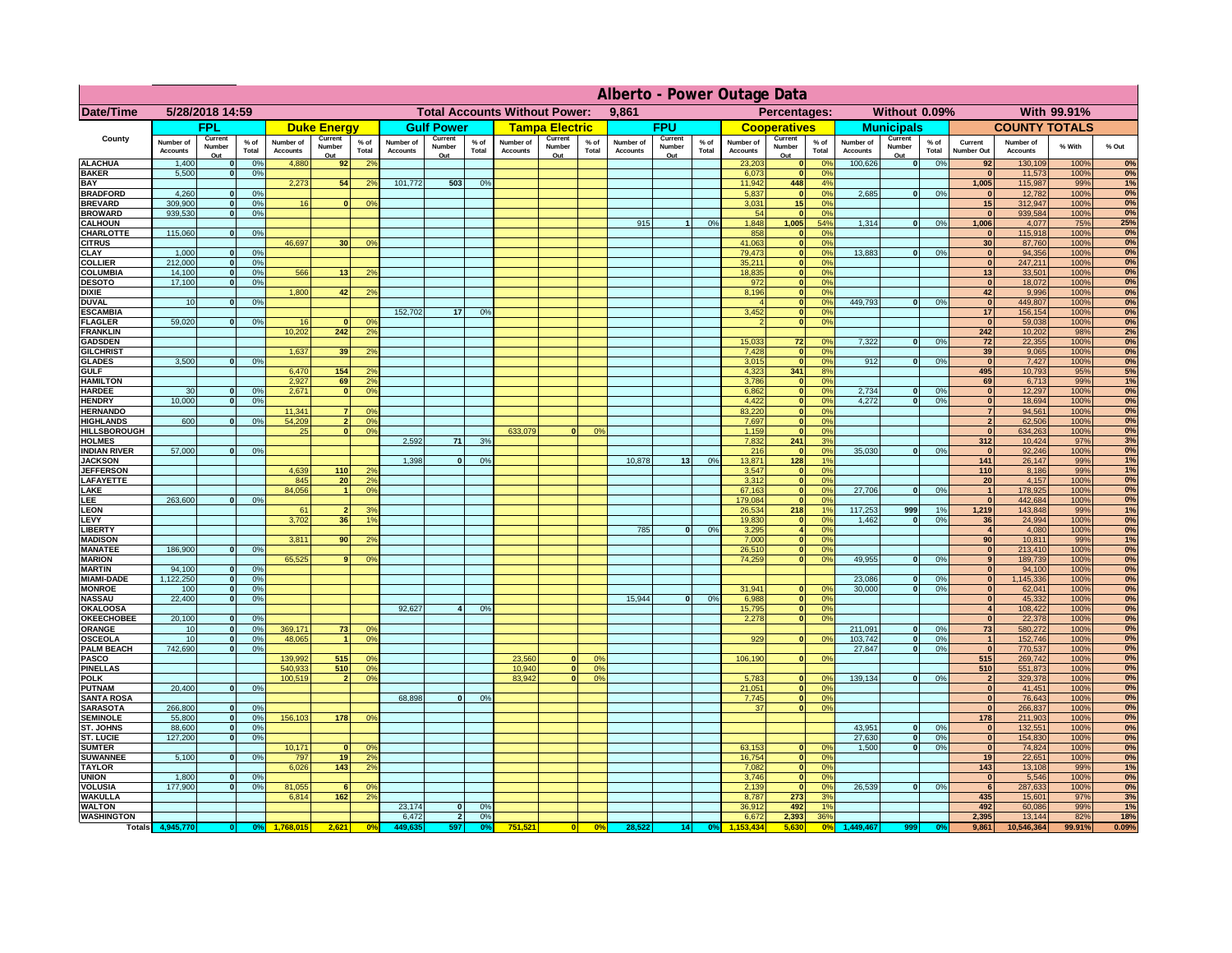|                                       | Alberto - Power Outage Data  |                              |                |                              |                                               |                                  |                              |                                |                                              |                              |                          |                |                              |                          |                 |                              |                          |                                  |                              |                           |                 |                              |                              |              |           |
|---------------------------------------|------------------------------|------------------------------|----------------|------------------------------|-----------------------------------------------|----------------------------------|------------------------------|--------------------------------|----------------------------------------------|------------------------------|--------------------------|----------------|------------------------------|--------------------------|-----------------|------------------------------|--------------------------|----------------------------------|------------------------------|---------------------------|-----------------|------------------------------|------------------------------|--------------|-----------|
| <b>Date/Time</b>                      | 5/28/2018 14:59              |                              |                |                              | <b>Total Accounts Without Power:</b><br>9,861 |                                  |                              |                                | Percentages:<br>Without 0.09%<br>With 99.91% |                              |                          |                |                              |                          |                 |                              |                          |                                  |                              |                           |                 |                              |                              |              |           |
|                                       |                              | <b>FPL</b>                   |                |                              | <b>Duke Energy</b>                            |                                  |                              | <b>Gulf Power</b>              |                                              |                              | <b>Tampa Electric</b>    |                |                              | <b>FPU</b>               |                 |                              | <b>Cooperatives</b>      |                                  |                              | <b>Municipals</b>         |                 |                              | <b>COUNTY TOTALS</b>         |              |           |
| County                                | Number of<br><b>Accounts</b> | Current<br>Number<br>Out     | % of<br>Total  | Number of<br><b>Accounts</b> | Current<br>Number<br>Out                      | $%$ of<br>Total                  | Number of<br><b>Accounts</b> | Current<br>Number<br>Out       | $%$ of<br>Total                              | Number of<br><b>Accounts</b> | Current<br>Number<br>Out | % of<br>Total  | Number of<br><b>Accounts</b> | Current<br>Number<br>Out | $%$ of<br>Total | Number of<br><b>Accounts</b> | Current<br>Number<br>Out | % of<br>Total                    | Number of<br><b>Accounts</b> | Current<br>Number<br>Out  | $%$ of<br>Total | Current<br>Number Out        | Number of<br><b>Accounts</b> | % With       | % Out     |
| <b>ALACHUA</b>                        | 1,400                        | - Ol                         | 0%             | 4,880                        | 92                                            | 2 <sup>0</sup>                   |                              |                                |                                              |                              |                          |                |                              |                          |                 | 23,203                       | 0                        | 0%                               | 100,626                      | $\mathbf{0}$              | 0%              | 92                           | 130,109                      | 100%         | 0%        |
| <b>BAKER</b><br><b>BAY</b>            | 5,500                        | 0                            | 0%             | 2,273                        | 54                                            | 2 <sup>0</sup>                   | 101,772                      | 503                            | 0%                                           |                              |                          |                |                              |                          |                 | 6,073<br>11,942              | 0 <br>448                | 0%<br>4%                         |                              |                           |                 | $\mathbf{0}$<br>1,005        | 11,573<br>115,987            | 100%<br>99%  | 0%<br>1%  |
| <b>BRADFORD</b>                       | 4,260                        | $\mathbf{0}$                 | 0%             |                              |                                               |                                  |                              |                                |                                              |                              |                          |                |                              |                          |                 | 5,837                        | 0                        | 0%                               | 2,685                        | 0                         | 0%              | $\mathbf{0}$                 | 12,782                       | 100%         | 0%        |
| <b>BREVARD</b>                        | 309,900                      | 0                            | 0%             | 16                           | 0                                             | 0%                               |                              |                                |                                              |                              |                          |                |                              |                          |                 | 3,031                        | 15                       | 0%                               |                              |                           |                 | 15                           | 312,947                      | 100%         | 0%        |
| <b>BROWARD</b><br><b>CALHOUN</b>      | 939,530                      | 0                            | 0%             |                              |                                               |                                  |                              |                                |                                              |                              |                          |                | 915                          |                          | 0%              | 54<br>1,848                  | 0 <br>1,005              | 0%<br>54%                        | 1,314                        | 0                         | 0%              | $\mathbf{0}$<br>1,006        | 939,584<br>4,077             | 100%<br>75%  | 0%<br>25% |
| CHARLOTTE                             | 115,060                      | 0                            | 0%             |                              |                                               |                                  |                              |                                |                                              |                              |                          |                |                              |                          |                 | 858                          | 0                        | 0%                               |                              |                           |                 | $\mathbf{0}$                 | 115,918                      | 100%         | 0%        |
| <b>CITRUS</b><br><b>CLAY</b>          | 1,000                        |                              | 0%             | 46,697                       | 30                                            | 0 <sup>9</sup>                   |                              |                                |                                              |                              |                          |                |                              |                          |                 | 41,063<br>79,473             | 0 <br> 0                 | 0 <sup>9</sup><br>0 <sup>9</sup> | 13,883                       | $\mathbf{0}$              | 0 <sup>9</sup>  | 30<br>$\mathbf{0}$           | 87,760<br>94,356             | 100%<br>100% | 0%        |
| <b>COLLIER</b>                        | 212,000                      |                              | 0%             |                              |                                               |                                  |                              |                                |                                              |                              |                          |                |                              |                          |                 | 35,211                       | 0                        | 0%                               |                              |                           |                 | $\mathbf{0}$                 | 247,211                      | 100%         | 0%<br>0%  |
| <b>COLUMBIA</b>                       | 14,100                       | $\mathbf{0}$                 | 0%             | 566                          | 13                                            | 2 <sup>0</sup>                   |                              |                                |                                              |                              |                          |                |                              |                          |                 | 18,835                       | 0                        | 0%                               |                              |                           |                 | 13                           | 33,501                       | 100%         | 0%        |
| <b>DESOTO</b><br><b>DIXIE</b>         | 17,100                       | $\Omega$                     | 0%             | 1,800                        |                                               | 2 <sup>0</sup>                   |                              |                                |                                              |                              |                          |                |                              |                          |                 | 972<br>8,196                 | 0 <br> 0                 | 0%<br>0%                         |                              |                           |                 | $\mathbf{0}$<br>42           | 18,072                       | 100%<br>100% | 0%<br>0%  |
| <b>DUVAL</b>                          | 10                           | $\mathbf{0}$                 | 0%             |                              | 42                                            |                                  |                              |                                |                                              |                              |                          |                |                              |                          |                 |                              | 0                        | 0%                               | 449,793                      | 0                         | 0%              | $\mathbf{0}$                 | 9,996<br>449,807             | 100%         | 0%        |
| <b>ESCAMBIA</b>                       |                              |                              |                |                              |                                               |                                  | 152,702                      | 17                             | 0 <sup>9</sup>                               |                              |                          |                |                              |                          |                 | 3,452                        | 0                        | 0%                               |                              |                           |                 | 17                           | 156,154                      | 100%         | 0%        |
| <b>FLAGLER</b><br><b>FRANKLIN</b>     | 59,020                       | $\mathbf{0}$                 | 0%             | 16<br>10,202                 | 242                                           | 0%<br>2 <sup>0</sup>             |                              |                                |                                              |                              |                          |                |                              |                          |                 |                              | $\overline{\mathbf{0}}$  | 0%                               |                              |                           |                 | $\mathbf{0}$<br>242          | 59,038<br>10,202             | 100%<br>98%  | 0%<br>2%  |
| <b>GADSDEN</b>                        |                              |                              |                |                              |                                               |                                  |                              |                                |                                              |                              |                          |                |                              |                          |                 | 15,033                       | 72                       | 0%                               | 7.322                        | 0                         | 0%              | 72                           | 22,355                       | 100%         | 0%        |
| <b>GILCHRIST</b>                      |                              |                              |                | 1.637                        | 39                                            | 2%                               |                              |                                |                                              |                              |                          |                |                              |                          |                 | 7,428                        | $\overline{\mathbf{0}}$  | 0%                               |                              |                           |                 | 39                           | 9,065                        | 100%         | 0%        |
| <b>GLADES</b>                         | 3,500                        | 0                            | 0%             |                              |                                               |                                  |                              |                                |                                              |                              |                          |                |                              |                          |                 | 3,015                        | 0                        | 0%                               | 912                          | $\mathbf{0}$              | 0%              | $\mathbf{0}$                 | 7,427                        | 100%         | 0%<br>5%  |
| <b>GULF</b><br><b>HAMILTON</b>        |                              |                              |                | 6,470<br>2,927               | 154<br>69                                     | 2 <sup>o</sup><br>2 <sup>o</sup> |                              |                                |                                              |                              |                          |                |                              |                          |                 | 4,323<br>3,786               | 341<br> 0                | 8%<br>0%                         |                              |                           |                 | 495<br>69                    | 10,793<br>6,713              | 95%<br>99%   | 1%        |
| <b>HARDEE</b>                         | 30                           | 0                            | 0%             | 2,671                        | $\Omega$                                      | 0 <sup>9</sup>                   |                              |                                |                                              |                              |                          |                |                              |                          |                 | 6,862                        | 0                        | 0%                               | 2,734                        | $\mathbf{0}$              | 0%              | $\mathbf{0}$                 | 12,297                       | 100%         | 0%        |
| <b>HENDRY</b>                         | 10,000                       | $\overline{0}$               | 0 <sup>9</sup> |                              |                                               |                                  |                              |                                |                                              |                              |                          |                |                              |                          |                 | 4,422                        | $\overline{0}$           | 0%                               | 4.272                        | $\bullet$                 | 0%              | 0 <br>$\overline{7}$         | 18,694                       | 100%         | 0%<br>0%  |
| <b>HERNANDO</b><br><b>HIGHLANDS</b>   | 600                          | $\Omega$                     | 0%             | 11,341<br>54,209             |                                               | 0 <sup>9</sup><br>0 <sup>9</sup> |                              |                                |                                              |                              |                          |                |                              |                          |                 | 83,220<br>7,697              | 0 <br>$\overline{0}$     | 0%<br>0%                         |                              |                           |                 | $\overline{2}$               | 94,561<br>62,506             | 100%<br>100% | 0%        |
| <b>HILLSBOROUGH</b>                   |                              |                              |                | 25                           | $\sqrt{2}$                                    | 0%                               |                              |                                |                                              | 633,079                      | $\Omega$                 | 0 <sup>9</sup> |                              |                          |                 | 1,159                        | 0                        | 0%                               |                              |                           |                 | $\Omega$                     | 634,263                      | 100%         | 0%        |
| <b>HOLMES</b>                         |                              | $\Omega$                     |                |                              |                                               |                                  | 2,592                        | 71                             | 3 <sup>9</sup>                               |                              |                          |                |                              |                          |                 | 7,832                        | 241                      | 3%                               |                              |                           |                 | 312                          | 10,424                       | 97%          | 3%        |
| <b>INDIAN RIVER</b><br><b>JACKSON</b> | 57,000                       |                              | 0%             |                              |                                               |                                  | 1,398                        | $\Omega$                       | 0%                                           |                              |                          |                | 10,878                       | 13                       | 0%              | 216<br>13,871                | 0 <br>128                | 0%<br>1%                         | 35,030                       | $\mathbf{0}$              | 0%              | $\mathbf{0}$<br>141          | 92,246<br>26,147             | 100%<br>99%  | 0%<br>1%  |
| <b>JEFFERSON</b>                      |                              |                              |                | 4,639                        | 110                                           | 2 <sup>o</sup>                   |                              |                                |                                              |                              |                          |                |                              |                          |                 | 3,547                        | 0                        | 0%                               |                              |                           |                 | 110                          | 8,186                        | 99%          | 1%        |
| <b>LAFAYETTE</b>                      |                              |                              |                | 845<br>84,056                | 20                                            | 2 <sup>o</sup><br>0 <sup>9</sup> |                              |                                |                                              |                              |                          |                |                              |                          |                 | 3,312<br>67,163              | 0 <br> 0                 | 0%<br>0%                         | 27,706                       | $\mathbf{0}$              | 0%              | 20<br>1                      | 4,157<br>178,925             | 100%<br>100% | 0%<br>0%  |
| LAKE<br>LEE                           | 263,600                      | $\Omega$                     | 0%             |                              |                                               |                                  |                              |                                |                                              |                              |                          |                |                              |                          |                 | 179,084                      | 0                        | 0%                               |                              |                           |                 | 0                            | 442,684                      | 100%         | 0%        |
| <b>LEON</b>                           |                              |                              |                | 61                           |                                               | 3%                               |                              |                                |                                              |                              |                          |                |                              |                          |                 | 26,534                       | 218                      | 1%                               | 117,253                      | 999                       | 1%              | 1,219                        | 143,848                      | 99%          | 1%        |
| LEVY                                  |                              |                              |                | 3,702                        | 36                                            | 1 <sup>9</sup>                   |                              |                                |                                              |                              |                          |                |                              | $\Omega$                 |                 | 19,830                       | 0                        | 0%                               | 1,462                        | $\mathbf{0}$              | 0%              | 36                           | 24,994                       | 100%         | 0%        |
| <b>LIBERTY</b><br><b>MADISON</b>      |                              |                              |                | 3,811                        | 90 <sub>1</sub>                               | 2 <sup>0</sup>                   |                              |                                |                                              |                              |                          |                | 785                          |                          | 0%              | 3,295<br>7,000               | $\vert$<br> 0            | 0%<br>0%                         |                              |                           |                 | $\vert$<br>90                | 4,080<br>10,811              | 100%<br>99%  | 0%<br>1%  |
| <b>MANATEE</b>                        | 186,900                      | 0                            | 0%             |                              |                                               |                                  |                              |                                |                                              |                              |                          |                |                              |                          |                 | 26,510                       | 0                        | 0%                               |                              |                           |                 | 0                            | 213,410                      | 100%         | 0%        |
| <b>MARION</b>                         | 94,100                       |                              | 0%             | 65,525                       | 9                                             | 0%                               |                              |                                |                                              |                              |                          |                |                              |                          |                 | 74,259                       | 0                        | 0%                               | 49,955                       | 0                         | 0%              | 9                            | 189,739                      | 100%         | 0%<br>0%  |
| <b>MARTIN</b><br><b>MIAMI-DADE</b>    | 1,122,250                    | 0 <br> 0                     | 0%             |                              |                                               |                                  |                              |                                |                                              |                              |                          |                |                              |                          |                 |                              |                          |                                  | 23,086                       | $\mathbf{0}$              | 0%              | 0 <br> 0                     | 94,100<br>1,145,336          | 100%<br>100% | 0%        |
| <b>MONROE</b>                         | 100                          | 0                            | 0%             |                              |                                               |                                  |                              |                                |                                              |                              |                          |                |                              |                          |                 | 31,941                       | 0                        | $\Omega$ %                       | 30,000                       | $\mathbf{0}$              | 0%              | 0                            | 62,041                       | 100%         | 0%        |
| <b>NASSAU</b>                         | 22,400                       | 0                            | 0%             |                              |                                               |                                  |                              |                                |                                              |                              |                          |                | 15,944                       | $\Omega$                 | 0%              | 6,988                        | 0                        | 0%                               |                              |                           |                 | 0                            | 45,332                       | 100%         | 0%        |
| <b>OKALOOSA</b><br><b>OKEECHOBEE</b>  | 20,100                       | 0                            | 0%             |                              |                                               |                                  | 92,627                       | $\vert$ 4                      | 0%                                           |                              |                          |                |                              |                          |                 | 15,795<br>2,278              | 0 <br> 0                 | 0%<br>0%                         |                              |                           |                 | 4 <sup>1</sup><br> 0         | 108,422<br>22,378            | 100%<br>100% | 0%<br>0%  |
| ORANGE                                | 10                           | 0                            | 0%             | 369,171                      | 73                                            | 0 <sup>9</sup>                   |                              |                                |                                              |                              |                          |                |                              |                          |                 |                              |                          |                                  | 211,091                      | $\mathbf{0}$              | 0%              | 73                           | 580,272                      | 100%         | 0%        |
| <b>OSCEOLA</b>                        | 10                           | 0                            | 0%             | 48,065                       | $\blacktriangleleft$                          | 0 <sup>9</sup>                   |                              |                                |                                              |                              |                          |                |                              |                          |                 | 929                          | 0                        | 0%                               | 103,742                      | $\mathbf 0$               | 0%              | $\mathbf{1}$                 | 152,746                      | 100%         | 0%        |
| <b>PALM BEACH</b><br><b>PASCO</b>     | 742,690                      | 0                            | 0%             | 139,992                      | 515                                           | 0 <sup>9</sup>                   |                              |                                |                                              | 23,560                       | $\mathbf{0}$             | $^{\circ}$     |                              |                          |                 | 106,190                      |                          | 0 <br>0%                         | 27,847                       | $\overline{\mathbf{0}}$   | 0%              | $\mathbf{0}$<br>515          | 770,537<br>269,742           | 100%<br>100% | 0%<br>0%  |
| <b>PINELLAS</b>                       |                              |                              |                | 540,933                      | 510                                           | 0 <sup>9</sup>                   |                              |                                |                                              | 10,940                       | 0                        | 0 <sup>9</sup> |                              |                          |                 |                              |                          |                                  |                              |                           |                 | 510                          | 551,873                      | 100%         | 0%        |
| <b>POLK</b>                           |                              |                              |                | 100,519                      | $\overline{2}$                                | 0%                               |                              |                                |                                              | 83,942                       | 0                        | 0%             |                              |                          |                 | 5,783                        |                          | 0 <br>0%                         | 139.134                      | 0                         | 0%              | $\overline{2}$               | 329,378                      | 100%         | 0%        |
| <b>PUTNAM</b><br><b>SANTA ROSA</b>    | 20,400                       | 0                            | 0%             |                              |                                               |                                  | 68,898                       | $\overline{0}$                 | 0%                                           |                              |                          |                |                              |                          |                 | 21,051<br>7,745              |                          | 0 <br>0%<br> 0 <br>0%            |                              |                           |                 | 0 <br>$\mathbf{0}$           | 41,451<br>76,643             | 100%<br>100% | 0%<br>0%  |
| <b>SARASOTA</b>                       | 266,800                      | 0                            | 0%             |                              |                                               |                                  |                              |                                |                                              |                              |                          |                |                              |                          |                 | 37                           |                          | 0 <br>0%                         |                              |                           |                 | $\mathbf{0}$                 | 266,837                      | 100%         | 0%        |
| <b>SEMINOLE</b>                       | 55,800                       | 0                            | 0%             | 156,103                      | 178                                           | 0 <sup>9</sup>                   |                              |                                |                                              |                              |                          |                |                              |                          |                 |                              |                          |                                  | 43,951                       |                           |                 | 178                          | 211,903                      | 100%         | 0%        |
| ST. JOHNS<br><b>ST. LUCIE</b>         | 88,600<br>127,200            | $\mathbf{0}$<br>$\mathbf{0}$ | 0%<br>0%       |                              |                                               |                                  |                              |                                |                                              |                              |                          |                |                              |                          |                 |                              |                          |                                  | 27,630                       | $\mathbf{0}$<br>$\bullet$ | 0%<br>0%        | $\mathbf{0}$<br>$\mathbf{0}$ | 132,551<br>154,830           | 100%<br>100% | 0%<br>0%  |
| <b>SUMTER</b>                         |                              |                              |                | 10,171                       |                                               | 0 <sup>9</sup>                   |                              |                                |                                              |                              |                          |                |                              |                          |                 | 63,153                       | 0                        | 0%                               | 1,500                        | $\bullet$                 | 0%              | $\mathbf{0}$                 | 74,824                       | 100%         | 0%        |
| <b>SUWANNEE</b>                       | 5,100                        | $\mathbf{0}$                 | 0%             | 797                          | 19                                            | 2 <sup>o</sup>                   |                              |                                |                                              |                              |                          |                |                              |                          |                 | 16,754                       | 0                        | 0%                               |                              |                           |                 | 19                           | 22,651                       | 100%         | 0%        |
| <b>TAYLOR</b><br><b>UNION</b>         | 1,800                        |                              | 0%             | 6,026                        | 143                                           | 2 <sup>o</sup>                   |                              |                                |                                              |                              |                          |                |                              |                          |                 | 7,082<br>3,746               | 0 <br> 0                 | 0%<br>0%                         |                              |                           |                 | 143<br>$\mathbf{0}$          | 13,108<br>5,546              | 99%<br>100%  | 1%<br>0%  |
| <b>VOLUSIA</b>                        | 177,900                      |                              | 0%             | 81,055                       |                                               | 0 <sup>9</sup>                   |                              |                                |                                              |                              |                          |                |                              |                          |                 | 2,139                        | 0                        | 0%                               | 26,539                       | 0                         | 0%              | 6                            | 287,633                      | 100%         | 0%        |
| <b>WAKULLA</b>                        |                              |                              |                | 6,814                        | $\overline{162}$                              | 2 <sup>o</sup>                   |                              |                                |                                              |                              |                          |                |                              |                          |                 | 8,787                        | 273                      | 3%<br>1%                         |                              |                           |                 | 435                          | 15,601                       | 97%          | 3%<br>1%  |
| <b>WALTON</b><br><b>WASHINGTON</b>    |                              |                              |                |                              |                                               |                                  | 23,174<br>6,472              | $\mathbf{0}$<br>$\overline{2}$ | 0 <sup>9</sup><br>0%                         |                              |                          |                |                              |                          |                 | 36,912<br>6,672              | 492<br>2,393             | 36%                              |                              |                           |                 | 492<br>2,395                 | 60,086<br>13,144             | 99%<br>82%   | 18%       |
|                                       | Totals 4,945,770             |                              | 0%<br>0        | 1.768.015                    | 2,621                                         | 0 <sup>o</sup>                   | 449,635                      | 597                            | 0 <sup>o</sup>                               | 751.521                      | 0                        | 0%             | 28,522                       | 14                       | 0%              | 53.434                       |                          | 0%                               | 1,449,467                    | 999                       |                 | 9,861                        | 10,546,364                   | 99.91%       | 0.09%     |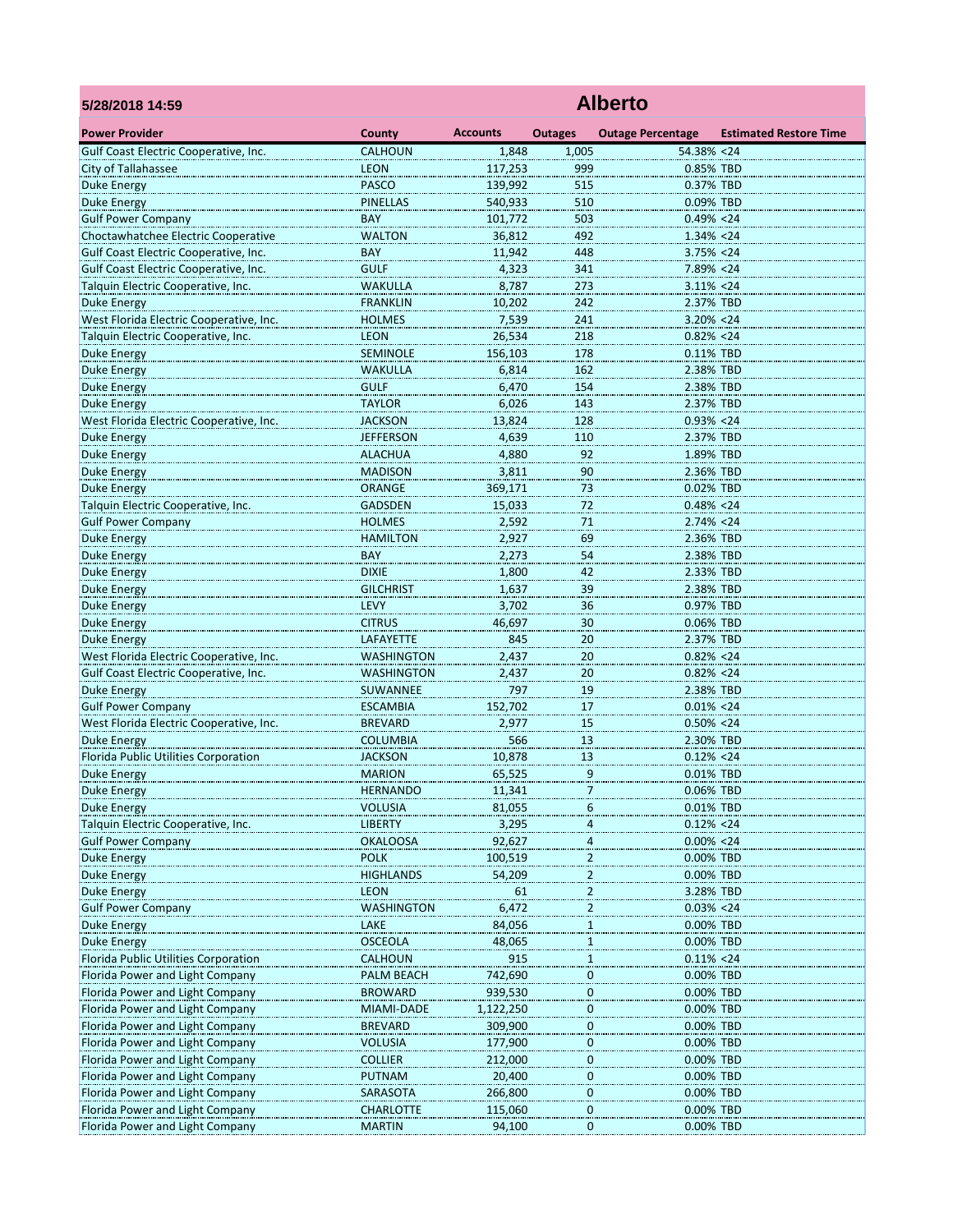| 5/28/2018 14:59                                                                  | <b>Alberto</b>                         |                 |                         |                                |                               |  |  |  |
|----------------------------------------------------------------------------------|----------------------------------------|-----------------|-------------------------|--------------------------------|-------------------------------|--|--|--|
| <b>Power Provider</b>                                                            | County                                 | <b>Accounts</b> | <b>Outages</b>          | <b>Outage Percentage</b>       | <b>Estimated Restore Time</b> |  |  |  |
| Gulf Coast Electric Cooperative, Inc.                                            | <b>CALHOUN</b>                         | 1,848           | 1,005                   | 54.38% <24                     |                               |  |  |  |
| City of Tallahassee                                                              | <b>LEON</b>                            | 117,253         | 999                     | 0.85% TBD                      |                               |  |  |  |
| <b>Duke Energy</b>                                                               | <b>PASCO</b>                           | 139,992         | 515                     | 0.37% TBD                      |                               |  |  |  |
| <b>Duke Energy</b>                                                               | <b>PINELLAS</b>                        | 540,933         | 510                     | 0.09% TBD                      |                               |  |  |  |
| <b>Gulf Power Company</b>                                                        | BAY                                    | 101,772         | 503                     | $0.49\% < 24$                  |                               |  |  |  |
| Choctawhatchee Electric Cooperative                                              | <b>WALTON</b>                          | 36,812          | 492                     | 1.34% <24                      |                               |  |  |  |
| Gulf Coast Electric Cooperative, Inc.                                            | <b>BAY</b>                             | 11,942          | 448                     | $3.75\% < 24$                  |                               |  |  |  |
| Gulf Coast Electric Cooperative, Inc.                                            | <b>GULF</b>                            | 4,323           | 341                     | 7.89% < 24                     |                               |  |  |  |
| Talquin Electric Cooperative, Inc.                                               | <b>WAKULLA</b>                         | 8,787           | 273                     | $3.11\% < 24$                  |                               |  |  |  |
| Duke Energy                                                                      | <b>FRANKLIN</b>                        | 10,202          | 242                     | 2.37% TBD                      |                               |  |  |  |
| West Florida Electric Cooperative, Inc.                                          | <b>HOLMES</b>                          | 7,539           | 241                     | $3.20\% < 24$                  |                               |  |  |  |
| Talquin Electric Cooperative, Inc.                                               | <b>LEON</b>                            | 26,534          | 218                     | $0.82\% < 24$                  |                               |  |  |  |
| Duke Energy                                                                      | <b>SEMINOLE</b>                        | 156,103         | 178                     | 0.11% TBD                      |                               |  |  |  |
| Duke Energy                                                                      | <b>WAKULLA</b>                         | 6,814           | 162                     | 2.38% TBD                      |                               |  |  |  |
| Duke Energy                                                                      | <b>GULF</b>                            | 6,470           | 154                     | 2.38% TBD                      |                               |  |  |  |
| <b>Duke Energy</b>                                                               | <b>TAYLOR</b>                          | 6,026           | 143                     | 2.37% TBD                      |                               |  |  |  |
| West Florida Electric Cooperative, Inc.                                          | <b>JACKSON</b>                         | 13,824          | 128                     | $0.93\% < 24$                  |                               |  |  |  |
| <b>Duke Energy</b>                                                               | <b>JEFFERSON</b>                       | 4,639           | 110                     | 2.37% TBD                      |                               |  |  |  |
| Duke Energy                                                                      | <b>ALACHUA</b>                         | 4,880           | 92                      | 1.89% TBD                      |                               |  |  |  |
| Duke Energy                                                                      | <b>MADISON</b>                         | 3,811           | 90                      | 2.36% TBD                      |                               |  |  |  |
| Duke Energy                                                                      | <b>ORANGE</b>                          | 369,171         | 73                      | 0.02% TBD                      |                               |  |  |  |
| Talquin Electric Cooperative, Inc.                                               | <b>GADSDEN</b>                         | 15,033          | 72                      | $0.48\% < 24$                  |                               |  |  |  |
| <b>Gulf Power Company</b>                                                        | <b>HOLMES</b>                          | 2,592           | 71                      | $2.74\% < 24$                  |                               |  |  |  |
| <b>Duke Energy</b>                                                               | <b>HAMILTON</b>                        | 2,927           | 69                      | 2.36% TBD                      |                               |  |  |  |
| <b>Duke Energy</b>                                                               | BAY                                    | 2,273           | 54                      | 2.38% TBD                      |                               |  |  |  |
| Duke Energy                                                                      | <b>DIXIE</b>                           | 1,800           | 42                      | 2.33% TBD                      |                               |  |  |  |
| <b>Duke Energy</b>                                                               | <b>GILCHRIST</b><br><b>LEVY</b>        | 1,637           | 39                      | 2.38% TBD                      |                               |  |  |  |
| <b>Duke Energy</b>                                                               |                                        | 3,702           | 36                      | 0.97% TBD                      |                               |  |  |  |
| Duke Energy                                                                      | <b>CITRUS</b>                          | 46,697          | 30                      | 0.06% TBD                      |                               |  |  |  |
| <b>Duke Energy</b>                                                               | LAFAYETTE                              | 845             | 20                      | 2.37% TBD                      |                               |  |  |  |
| West Florida Electric Cooperative, Inc.<br>Gulf Coast Electric Cooperative, Inc. | <b>WASHINGTON</b><br><b>WASHINGTON</b> | 2,437           | 20                      | $0.82\% < 24$<br>$0.82\% < 24$ |                               |  |  |  |
| <b>Duke Energy</b>                                                               | <b>SUWANNEE</b>                        | 2,437<br>797    | 20<br>19                | 2.38% TBD                      |                               |  |  |  |
| <b>Gulf Power Company</b>                                                        | <b>ESCAMBIA</b>                        | 152,702         | 17                      | $0.01\% < 24$                  |                               |  |  |  |
| West Florida Electric Cooperative, Inc.                                          | <b>BREVARD</b>                         | 2,977           | 15                      | $0.50\% < 24$                  |                               |  |  |  |
| Duke Energy                                                                      | <b>COLUMBIA</b>                        | 566             | 13                      | 2.30% TBD                      |                               |  |  |  |
| Florida Public Utilities Corporation                                             | <b>JACKSON</b>                         | 10,878          |                         | $0.12\% < 24$                  |                               |  |  |  |
| Duke Energy                                                                      | <b>MARION</b>                          | 65,525          | 13<br>9                 | 0.01% TBD                      |                               |  |  |  |
| Duke Energy                                                                      | <b>HERNANDO</b>                        | 11,341          | 7                       | 0.06% TBD                      |                               |  |  |  |
| <b>Duke Energy</b>                                                               | VOLUSIA                                | 81,055          | 6                       | 0.01% TBD                      |                               |  |  |  |
| Talquin Electric Cooperative, Inc.                                               | <b>LIBERTY</b>                         | 3,295           | 4                       | $0.12\% < 24$                  |                               |  |  |  |
| <b>Gulf Power Company</b>                                                        | <b>OKALOOSA</b>                        | 92,627          | $\overline{a}$          | $0.00\% < 24$                  |                               |  |  |  |
| Duke Energy                                                                      | <b>POLK</b>                            | 100,519         | $\overline{\mathbf{c}}$ | 0.00% TBD                      |                               |  |  |  |
| Duke Energy                                                                      | <b>HIGHLANDS</b>                       | 54,209          | $\overline{a}$          | 0.00% TBD                      |                               |  |  |  |
| <b>Duke Energy</b>                                                               | <b>LEON</b>                            | 61              | $\overline{a}$          | 3.28% TBD                      |                               |  |  |  |
| <b>Gulf Power Company</b>                                                        | WASHINGTON                             | 6,472           | $\overline{\mathbf{c}}$ | $0.03\% < 24$                  |                               |  |  |  |
| <b>Duke Energy</b>                                                               | LAKE                                   | 84,056          | $\overline{1}$          | 0.00% TBD                      |                               |  |  |  |
| <b>Duke Energy</b>                                                               | <b>OSCEOLA</b>                         | 48,065          | $\overline{1}$          | 0.00% TBD                      |                               |  |  |  |
| Florida Public Utilities Corporation                                             | <b>CALHOUN</b>                         | 915             | $\mathbf{1}$            | $0.11\% < 24$                  |                               |  |  |  |
| Florida Power and Light Company                                                  | PALM BEACH                             | 742,690         | 0                       | 0.00% TBD                      |                               |  |  |  |
| Florida Power and Light Company                                                  | <b>BROWARD</b>                         | 939,530         | $\overline{0}$          | 0.00% TBD                      |                               |  |  |  |
| Florida Power and Light Company                                                  | MIAMI-DADE                             | 1,122,250       | $\boldsymbol{0}$        | 0.00% TBD                      |                               |  |  |  |
| Florida Power and Light Company                                                  | <b>BREVARD</b>                         | 309,900         | $\bf{0}$                | 0.00% TBD                      |                               |  |  |  |
| Florida Power and Light Company                                                  | <b>VOLUSIA</b>                         | 177,900         | $\bf{0}$                | 0.00% TBD                      |                               |  |  |  |
| Florida Power and Light Company                                                  | <b>COLLIER</b>                         | 212,000         | 0                       | 0.00% TBD                      |                               |  |  |  |
| Florida Power and Light Company                                                  | <b>PUTNAM</b>                          | 20,400          | $\boldsymbol{0}$        | 0.00% TBD                      |                               |  |  |  |
| Florida Power and Light Company                                                  | SARASOTA                               | 266,800         | $\overline{0}$          | 0.00% TBD                      |                               |  |  |  |
| Florida Power and Light Company                                                  | <b>CHARLOTTE</b>                       | 115,060         | $\pmb{0}$               | 0.00% TBD                      |                               |  |  |  |
| Florida Power and Light Company                                                  | <b>MARTIN</b>                          | 94,100          | 0                       | 0.00% TBD                      |                               |  |  |  |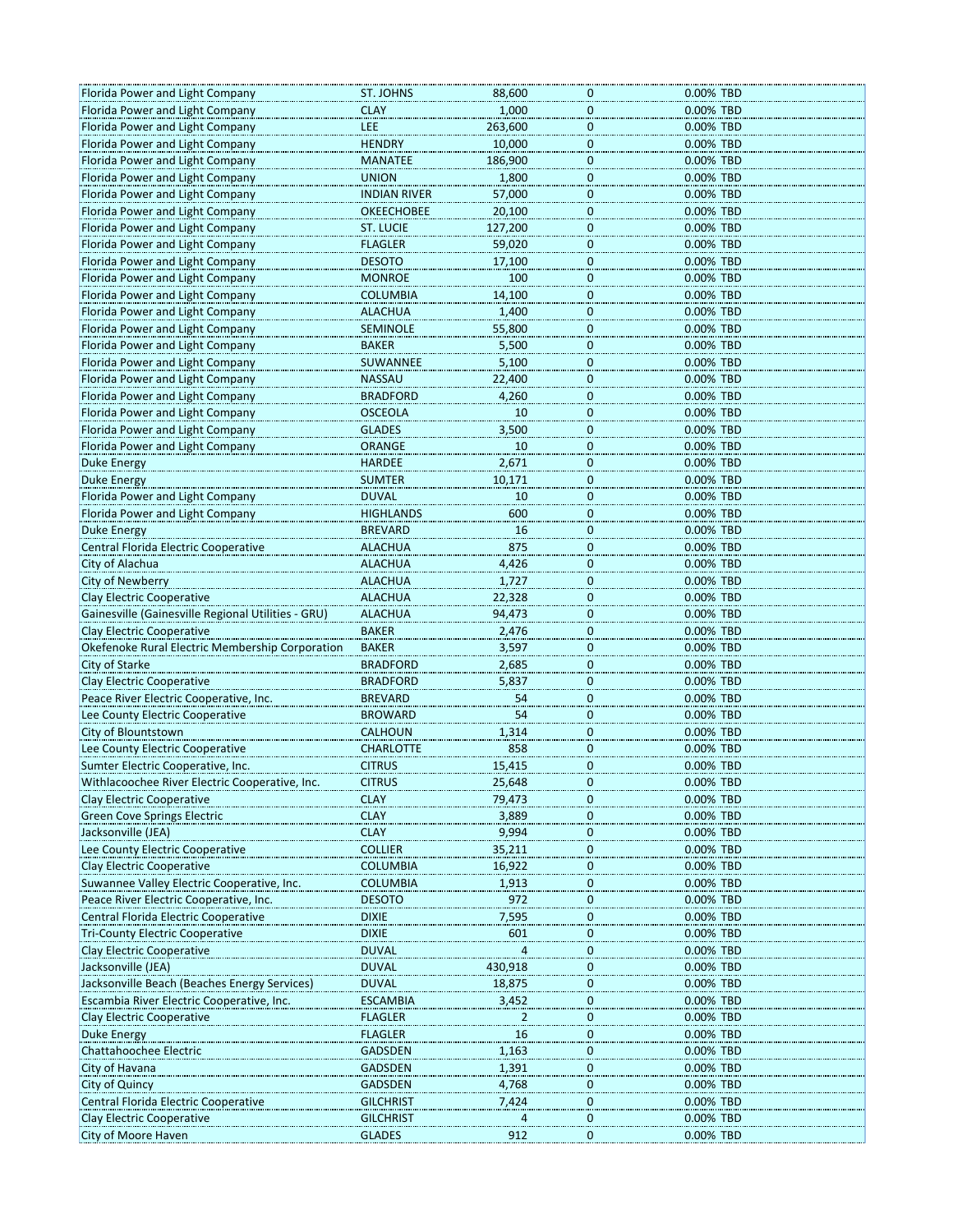| Florida Power and Light Company                        | ST. JOHNS           | 88,600         | 0              | 0.00% TBD |
|--------------------------------------------------------|---------------------|----------------|----------------|-----------|
| Florida Power and Light Company                        | <b>CLAY</b>         | 1,000          | 0              | 0.00% TBD |
| Florida Power and Light Company                        | LEE                 | 263,600        | $\overline{0}$ | 0.00% TBD |
| Florida Power and Light Company                        | <b>HENDRY</b>       | 10,000         | $\pmb{0}$      | 0.00% TBD |
|                                                        | <b>MANATEE</b>      |                |                | 0.00% TBD |
| Florida Power and Light Company                        |                     | 186,900        | $\pmb{0}$      |           |
| Florida Power and Light Company                        | <b>UNION</b>        | 1,800          | 0              | 0.00% TBD |
| Florida Power and Light Company                        | <b>INDIAN RIVER</b> | 57,000         | 0              | 0.00% TBD |
| Florida Power and Light Company                        | <b>OKEECHOBEE</b>   | 20,100         | $\overline{0}$ | 0.00% TBD |
| Florida Power and Light Company                        | <b>ST. LUCIE</b>    | 127,200        | $\pmb{0}$      | 0.00% TBD |
| Florida Power and Light Company                        | <b>FLAGLER</b>      | 59,020         | $\overline{0}$ | 0.00% TBD |
| Florida Power and Light Company                        | <b>DESOTO</b>       | 17,100         | $\overline{0}$ | 0.00% TBD |
| Florida Power and Light Company                        | <b>MONROE</b>       | 100            |                | 0.00% TBD |
|                                                        |                     |                | $\overline{0}$ |           |
| Florida Power and Light Company                        | <b>COLUMBIA</b>     | 14,100         | $\overline{0}$ | 0.00% TBD |
| Florida Power and Light Company                        | <b>ALACHUA</b>      | 1,400          | 0              | 0.00% TBD |
| Florida Power and Light Company                        | <b>SEMINOLE</b>     | 55,800         | $\bf{0}$       | 0.00% TBD |
| Florida Power and Light Company                        | <b>BAKER</b>        | 5,500          | $\overline{0}$ | 0.00% TBD |
| Florida Power and Light Company                        | SUWANNEE            | 5,100          | $\overline{0}$ | 0.00% TBD |
| Florida Power and Light Company                        | <b>NASSAU</b>       | 22,400         | $\mathbf 0$    | 0.00% TBD |
| Florida Power and Light Company                        | <b>BRADFORD</b>     | 4,260          | 0              | 0.00% TBD |
|                                                        | <b>OSCEOLA</b>      | 10             |                |           |
| Florida Power and Light Company                        |                     |                | $\bf{0}$       | 0.00% TBD |
| Florida Power and Light Company                        | <b>GLADES</b>       | 3,500          | $\overline{0}$ | 0.00% TBD |
| Florida Power and Light Company                        | <b>ORANGE</b>       | 10             | $\overline{0}$ | 0.00% TBD |
| Duke Energy                                            | <b>HARDEE</b>       | 2,671          | $\overline{0}$ | 0.00% TBD |
| Duke Energy                                            | <b>SUMTER</b>       | 10,171         | $\pmb{0}$      | 0.00% TBD |
| Florida Power and Light Company                        | <b>DUVAL</b>        | 10             | $\pmb{0}$      | 0.00% TBD |
| Florida Power and Light Company                        | <b>HIGHLANDS</b>    | 600            | 0              | 0.00% TBD |
|                                                        |                     |                |                |           |
| <b>Duke Energy</b>                                     | <b>BREVARD</b>      | 16             | $\overline{0}$ | 0.00% TBD |
| Central Florida Electric Cooperative                   | <b>ALACHUA</b>      | 875            | $\overline{0}$ | 0.00% TBD |
| City of Alachua                                        | <b>ALACHUA</b>      | 4,426          | $\pmb{0}$      | 0.00% TBD |
| City of Newberry                                       | <b>ALACHUA</b>      | 1,727          | $\pmb{0}$      | 0.00% TBD |
| Clay Electric Cooperative                              | <b>ALACHUA</b>      | 22,328         | $\overline{0}$ | 0.00% TBD |
| Gainesville (Gainesville Regional Utilities - GRU)     | <b>ALACHUA</b>      | 94,473         | $\overline{0}$ | 0.00% TBD |
| <b>Clay Electric Cooperative</b>                       | <b>BAKER</b>        | 2,476          | $\bf{0}$       | 0.00% TBD |
| <b>Okefenoke Rural Electric Membership Corporation</b> | <b>BAKER</b>        | 3,597          | $\pmb{0}$      | 0.00% TBD |
|                                                        |                     |                |                |           |
| City of Starke                                         | <b>BRADFORD</b>     | 2,685          | $\bf{0}$       | 0.00% TBD |
| Clay Electric Cooperative                              | <b>BRADFORD</b>     | 5,837          | 0              | 0.00% TBD |
| Peace River Electric Cooperative, Inc.                 | <b>BREVARD</b>      | 54             | $\overline{0}$ | 0.00% TBD |
| Lee County Electric Cooperative                        | <b>BROWARD</b>      | 54             | $\overline{0}$ | 0.00% TBD |
| City of Blountstown                                    | <b>CALHOUN</b>      | 1,314          | 0              | 0.00% TBD |
| Lee County Electric Cooperative                        | <b>CHARLOTTE</b>    | 858            | $\mathbf 0$    | 0.00% TBD |
| Sumter Electric Cooperative, Inc.                      | <b>CITRUS</b>       | 15,415         | 0              | 0.00% TBD |
|                                                        |                     |                |                |           |
| Withlacoochee River Electric Cooperative, Inc.         | <b>CITRUS</b>       | 25,648         | U              | 0.00% TBD |
| Clay Electric Cooperative                              | <b>CLAY</b>         | 79,473         | 0              | 0.00% TBD |
| <b>Green Cove Springs Electric</b>                     | <b>CLAY</b>         | 3,889          | 0              | 0.00% TBD |
| Jacksonville (JEA)                                     | <b>CLAY</b>         | 9,994          | $\pmb{0}$      | 0.00% TBD |
| Lee County Electric Cooperative                        | <b>COLLIER</b>      | 35,211         | 0              | 0.00% TBD |
| Clay Electric Cooperative                              | <b>COLUMBIA</b>     | 16,922         | $\overline{0}$ | 0.00% TBD |
| Suwannee Valley Electric Cooperative, Inc.             | <b>COLUMBIA</b>     | 1,913          | $\overline{0}$ | 0.00% TBD |
| Peace River Electric Cooperative, Inc.                 | <b>DESOTO</b>       | 972            | $\pmb{0}$      | 0.00% TBD |
|                                                        |                     |                |                |           |
| Central Florida Electric Cooperative                   | <b>DIXIE</b>        | 7,595          | $\pmb{0}$      | 0.00% TBD |
| <b>Tri-County Electric Cooperative</b>                 | <b>DIXIE</b>        | 601            | 0              | 0.00% TBD |
| Clay Electric Cooperative                              | <b>DUVAL</b>        | $\overline{a}$ | $\overline{0}$ | 0.00% TBD |
| Jacksonville (JEA)                                     | <b>DUVAL</b>        | 430,918        | $\overline{0}$ | 0.00% TBD |
| Jacksonville Beach (Beaches Energy Services)           | <b>DUVAL</b>        | 18,875         | $\pmb{0}$      | 0.00% TBD |
| Escambia River Electric Cooperative, Inc.              | <b>ESCAMBIA</b>     | 3,452          | $\pmb{0}$      | 0.00% TBD |
| Clay Electric Cooperative                              | <b>FLAGLER</b>      | 2              | 0              | 0.00% TBD |
|                                                        | <b>FLAGLER</b>      |                |                | 0.00% TBD |
| Duke Energy                                            |                     | 16             | $\overline{0}$ |           |
| Chattahoochee Electric                                 | <b>GADSDEN</b>      | 1,163          | $\overline{0}$ | 0.00% TBD |
| City of Havana                                         | <b>GADSDEN</b>      | 1,391          | $\pmb{0}$      | 0.00% TBD |
| City of Quincy                                         | <b>GADSDEN</b>      | 4,768          | $\overline{0}$ | 0.00% TBD |
| Central Florida Electric Cooperative                   | <b>GILCHRIST</b>    | 7,424          | 0              | 0.00% TBD |
| Clay Electric Cooperative                              | <b>GILCHRIST</b>    |                | 0              | 0.00% TBD |
| City of Moore Haven                                    | <b>GLADES</b>       | 912            | 0              | 0.00% TBD |
|                                                        |                     |                |                |           |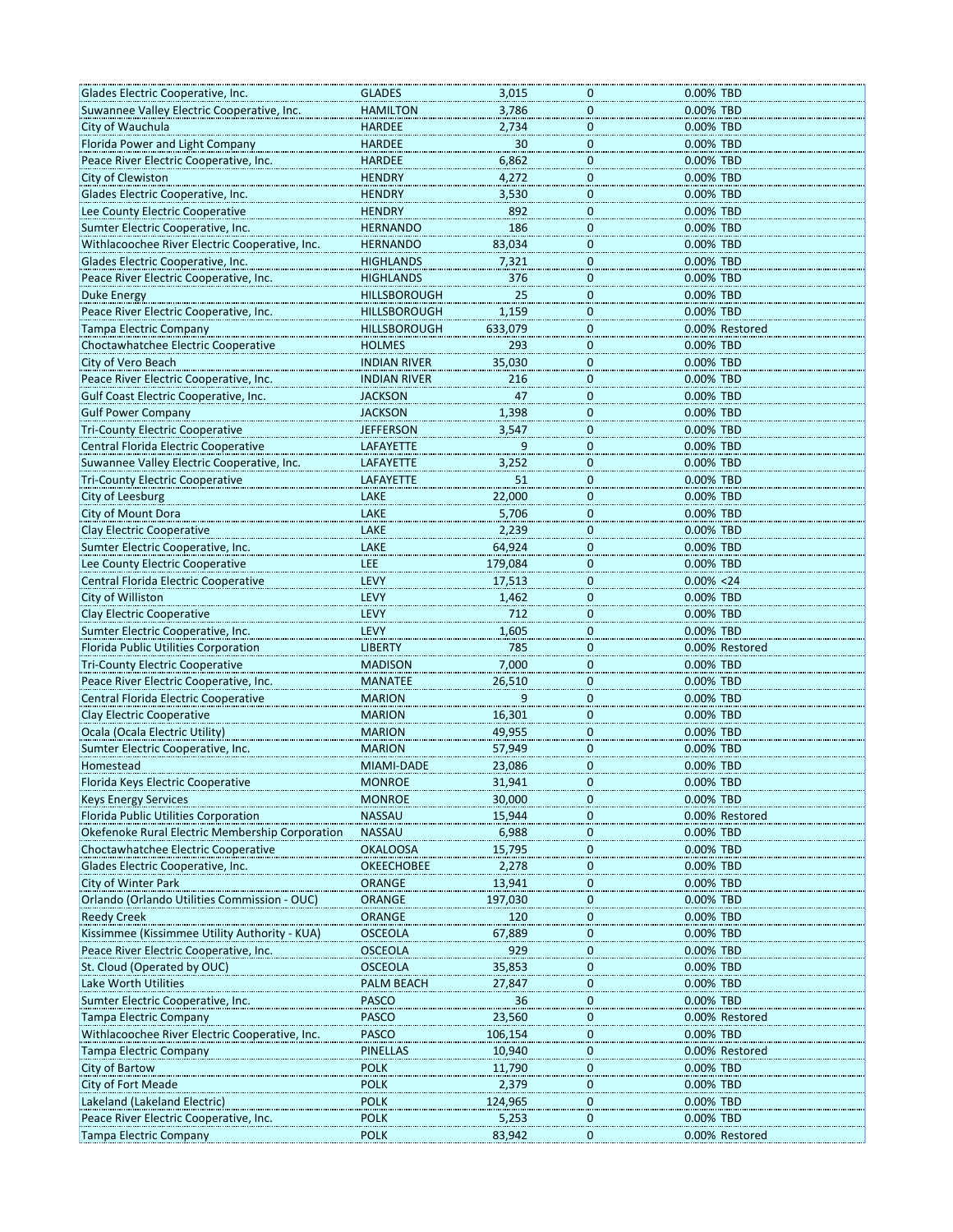| Glades Electric Cooperative, Inc.               | <b>GLADES</b>       | 3,015   | 0                | 0.00% TBD      |
|-------------------------------------------------|---------------------|---------|------------------|----------------|
| Suwannee Valley Electric Cooperative, Inc.      | <b>HAMILTON</b>     | 3,786   | $\mathbf 0$      | 0.00% TBD      |
| City of Wauchula                                | <b>HARDEE</b>       | 2,734   | $\overline{0}$   | 0.00% TBD      |
| Florida Power and Light Company                 | <b>HARDEE</b>       | 30      | $\pmb{0}$        | 0.00% TBD      |
|                                                 |                     |         |                  |                |
| Peace River Electric Cooperative, Inc.          | <b>HARDEE</b>       | 6,862   | $\pmb{0}$        | 0.00% TBD      |
| City of Clewiston                               | <b>HENDRY</b>       | 4,272   | 0                | 0.00% TBD      |
| Glades Electric Cooperative, Inc.               | <b>HENDRY</b>       | 3,530   | 0                | 0.00% TBD      |
| Lee County Electric Cooperative                 | <b>HENDRY</b>       | 892     | $\mathbf 0$      | 0.00% TBD      |
| Sumter Electric Cooperative, Inc.               | <b>HERNANDO</b>     | 186     | $\pmb{0}$        | 0.00% TBD      |
|                                                 |                     |         |                  |                |
| Withlacoochee River Electric Cooperative, Inc.  | <b>HERNANDO</b>     | 83,034  | $\pmb{0}$        | 0.00% TBD      |
| Glades Electric Cooperative, Inc.               | <b>HIGHLANDS</b>    | 7,321   | $\overline{0}$   | 0.00% TBD      |
| Peace River Electric Cooperative, Inc.          | <b>HIGHLANDS</b>    | 376     | $\overline{0}$   | 0.00% TBD      |
| <b>Duke Energy</b>                              | <b>HILLSBOROUGH</b> | 25      | $\overline{0}$   | 0.00% TBD      |
| Peace River Electric Cooperative, Inc.          | <b>HILLSBOROUGH</b> | 1,159   | $\pmb{0}$        | 0.00% TBD      |
|                                                 |                     |         |                  |                |
| <b>Tampa Electric Company</b>                   | <b>HILLSBOROUGH</b> | 633,079 | $\bf{0}$         | 0.00% Restored |
| Choctawhatchee Electric Cooperative             | <b>HOLMES</b>       | 293     | $\bf{0}$         | 0.00% TBD      |
| City of Vero Beach                              | <b>INDIAN RIVER</b> | 35,030  | $\overline{0}$   | 0.00% TBD      |
| Peace River Electric Cooperative, Inc.          | <b>INDIAN RIVER</b> | 216     | $\mathbf 0$      | 0.00% TBD      |
| Gulf Coast Electric Cooperative, Inc.           | <b>JACKSON</b>      | 47      | $\pmb{0}$        | 0.00% TBD      |
|                                                 |                     |         |                  |                |
| <b>Gulf Power Company</b>                       | <b>JACKSON</b>      | 1,398   | $\bf{0}$         | 0.00% TBD      |
| <b>Tri-County Electric Cooperative</b>          | <b>JEFFERSON</b>    | 3,547   | $\overline{0}$   | 0.00% TBD      |
| Central Florida Electric Cooperative            | LAFAYETTE           |         | $\overline{0}$   | 0.00% TBD      |
| Suwannee Valley Electric Cooperative, Inc.      | LAFAYETTE           | 3,252   | $\mathbf{0}$     | 0.00% TBD      |
| <b>Tri-County Electric Cooperative</b>          | <b>LAFAYETTE</b>    | 51      | $\pmb{0}$        | 0.00% TBD      |
|                                                 |                     |         |                  |                |
| City of Leesburg                                | LAKE                | 22,000  | $\bf{0}$         | 0.00% TBD      |
| City of Mount Dora                              | LAKE                | 5,706   | $\bf{0}$         | 0.00% TBD      |
| <b>Clay Electric Cooperative</b>                | LAKE                | 2,239   | $\overline{0}$   | 0.00% TBD      |
| Sumter Electric Cooperative, Inc.               | LAKE                | 64,924  | $\mathbf 0$      | 0.00% TBD      |
|                                                 | <b>LEE</b>          | 179,084 | $\pmb{0}$        | 0.00% TBD      |
| Lee County Electric Cooperative                 |                     |         |                  |                |
| Central Florida Electric Cooperative            | LEVY                | 17,513  | $\bf{0}$         | $0.00\% < 24$  |
| City of Williston                               | LEVY                | 1,462   | $\overline{0}$   | 0.00% TBD      |
| Clay Electric Cooperative                       | LEVY                | 712     | $\overline{0}$   | 0.00% TBD      |
| Sumter Electric Cooperative, Inc.               | LEVY                | 1,605   | $\overline{0}$   | 0.00% TBD      |
|                                                 | <b>LIBERTY</b>      | 785     | $\pmb{0}$        |                |
| Florida Public Utilities Corporation            |                     |         |                  | 0.00% Restored |
| <b>Tri-County Electric Cooperative</b>          | <b>MADISON</b>      | 7,000   | $\bf{0}$         | 0.00% TBD      |
| Peace River Electric Cooperative, Inc.          | <b>MANATEE</b>      | 26,510  | 0                | 0.00% TBD      |
| Central Florida Electric Cooperative            | <b>MARION</b>       | 9       | $\overline{0}$   | 0.00% TBD      |
| <b>Clay Electric Cooperative</b>                | <b>MARION</b>       | 16,301  | $\mathbf{0}$     | 0.00% TBD      |
|                                                 |                     | 49,955  | $\pmb{0}$        | 0.00% TBD      |
| Ocala (Ocala Electric Utility)                  | <b>MARION</b>       |         |                  |                |
| Sumter Electric Cooperative, Inc.               | <b>MARION</b>       | 57,949  | $\pmb{0}$        | 0.00% TBD      |
| Homestead                                       | MIAMI-DADE          | 23,086  | 0                | 0.00% TBD      |
| Florida Keys Electric Cooperative               | <b>MONROF</b>       | 31,941  | U                | 0.00% TBD      |
| <b>Keys Energy Services</b>                     | <b>MONROE</b>       | 30,000  | 0                | 0.00% TBD      |
|                                                 |                     |         |                  |                |
| Florida Public Utilities Corporation            | <b>NASSAU</b>       | 15,944  | $\pmb{0}$        | 0.00% Restored |
| Okefenoke Rural Electric Membership Corporation | <b>NASSAU</b>       | 6,988   | $\bf{0}$         | 0.00% TBD      |
| Choctawhatchee Electric Cooperative             | <b>OKALOOSA</b>     | 15,795  | $\bf{0}$         | 0.00% TBD      |
| Glades Electric Cooperative, Inc.               | <b>OKEECHOBEE</b>   | 2,278   | $\overline{0}$   | 0.00% TBD      |
| City of Winter Park                             | ORANGE              | 13,941  | $\bf{0}$         | 0.00% TBD      |
|                                                 | <b>ORANGE</b>       | 197,030 | $\pmb{0}$        | 0.00% TBD      |
| Orlando (Orlando Utilities Commission - OUC)    |                     |         |                  |                |
| <b>Reedy Creek</b>                              | <b>ORANGE</b>       | 120     | $\bf{0}$         | 0.00% TBD      |
| Kissimmee (Kissimmee Utility Authority - KUA)   | <b>OSCEOLA</b>      | 67,889  | 0                | 0.00% TBD      |
| Peace River Electric Cooperative, Inc.          | <b>OSCEOLA</b>      | 929     | $\overline{0}$   | 0.00% TBD      |
| St. Cloud (Operated by OUC)                     | OSCEOLA             | 35,853  | $\boldsymbol{0}$ | 0.00% TBD      |
| Lake Worth Utilities                            |                     | 27,847  | $\pmb{0}$        | 0.00% TBD      |
|                                                 | PALM BEACH          |         |                  |                |
| Sumter Electric Cooperative, Inc.               | <b>PASCO</b>        | 36      | $\pmb{0}$        | 0.00% TBD      |
| <b>Tampa Electric Company</b>                   | <b>PASCO</b>        | 23,560  | 0                | 0.00% Restored |
| Withlacoochee River Electric Cooperative, Inc.  | <b>PASCO</b>        | 106,154 | $\overline{0}$   | 0.00% TBD      |
| <b>Tampa Electric Company</b>                   | PINELLAS            | 10,940  | $\overline{0}$   | 0.00% Restored |
| City of Bartow                                  | <b>POLK</b>         | 11,790  | $\pmb{0}$        | 0.00% TBD      |
|                                                 |                     |         |                  |                |
| <b>City of Fort Meade</b>                       | <b>POLK</b>         | 2,379   | $\overline{0}$   | 0.00% TBD      |
| Lakeland (Lakeland Electric)                    | <b>POLK</b>         | 124,965 | 0                | 0.00% TBD      |
| Peace River Electric Cooperative, Inc.          | <b>POLK</b>         | 5,253   | 0                | 0.00% TBD      |
| <b>Tampa Electric Company</b>                   | <b>POLK</b>         | 83,942  | 0                | 0.00% Restored |
|                                                 |                     |         |                  |                |